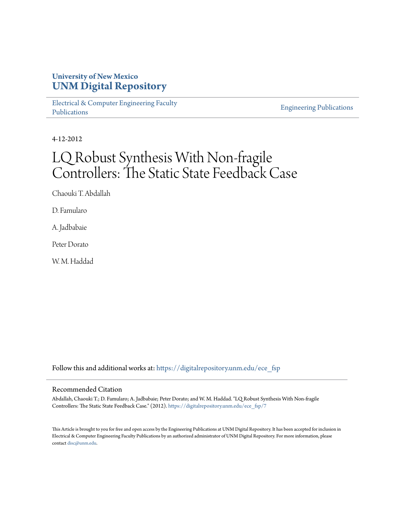## **University of New Mexico [UNM Digital Repository](https://digitalrepository.unm.edu?utm_source=digitalrepository.unm.edu%2Fece_fsp%2F7&utm_medium=PDF&utm_campaign=PDFCoverPages)**

[Electrical & Computer Engineering Faculty](https://digitalrepository.unm.edu/ece_fsp?utm_source=digitalrepository.unm.edu%2Fece_fsp%2F7&utm_medium=PDF&utm_campaign=PDFCoverPages) [Publications](https://digitalrepository.unm.edu/ece_fsp?utm_source=digitalrepository.unm.edu%2Fece_fsp%2F7&utm_medium=PDF&utm_campaign=PDFCoverPages)

[Engineering Publications](https://digitalrepository.unm.edu/eng_fsp?utm_source=digitalrepository.unm.edu%2Fece_fsp%2F7&utm_medium=PDF&utm_campaign=PDFCoverPages)

4-12-2012

## LQ Robust Synthesis With Non-fragile Controllers: The Static State Feedback Case

Chaouki T. Abdallah

D. Famularo

A. Jadbabaie

Peter Dorato

W. M. Haddad

Follow this and additional works at: [https://digitalrepository.unm.edu/ece\\_fsp](https://digitalrepository.unm.edu/ece_fsp?utm_source=digitalrepository.unm.edu%2Fece_fsp%2F7&utm_medium=PDF&utm_campaign=PDFCoverPages)

## Recommended Citation

Abdallah, Chaouki T.; D. Famularo; A. Jadbabaie; Peter Dorato; and W. M. Haddad. "LQ Robust Synthesis With Non-fragile Controllers: The Static State Feedback Case." (2012). [https://digitalrepository.unm.edu/ece\\_fsp/7](https://digitalrepository.unm.edu/ece_fsp/7?utm_source=digitalrepository.unm.edu%2Fece_fsp%2F7&utm_medium=PDF&utm_campaign=PDFCoverPages)

This Article is brought to you for free and open access by the Engineering Publications at UNM Digital Repository. It has been accepted for inclusion in Electrical & Computer Engineering Faculty Publications by an authorized administrator of UNM Digital Repository. For more information, please contact [disc@unm.edu.](mailto:disc@unm.edu)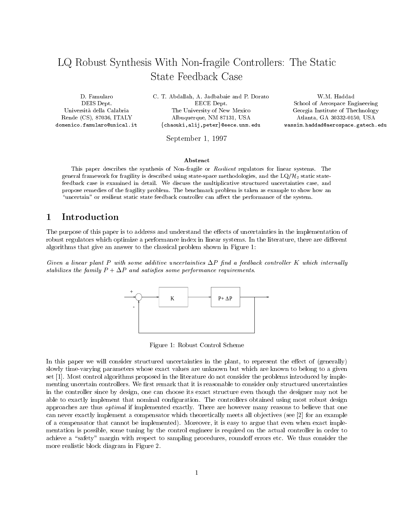# LQ Robust Synthesis With Non-fragile Controllers The Static

DEIS Dept. Rende (CS), 87036, ITALY domenico-famularounical-it

T-dorato and P-D-dorato W-D-dorato W-D-dorato W-D-dorato W-D-dorato W-D-dorato W-D-dorato W-D-dorato W-D-dorato EECE Dept. Universita della Calabria The University of New Mexico Georgia Institute of Thechnology Albuquerque, NM 87131, USA {chaouki,alij,peter}@eece.unm.edu

 School of Aerospace Engineering USA ATLANTA GA ATLANTA GA ATLANTA GA ATLANTA GA ATLANTA GA ATLANTA GA ATLANTA GA ATLANTA GA ATLANTA GA ATLANTA wassim-haddadaerospace-gatech-edu

September - September - September - September - September - September - September - September - September - S

#### Abstract

This paper describes the synthesis of Nonfragile or Resilient regulators for linear systems- The general framework for fragility is described using state-space methodologies, and the  $LQ/H<sub>2</sub>$  static statefeedback case is examined in detail- We discuss the multiplicative structured uncertainties case and propose remedies of the fragment problems- which as examples is the shown problem is taken as example to show how and "uncertain" or resilient static state feedback controller can affect the performance of the system.

#### $\mathbf{1}$ Introduction

The purpose of this paper is to address and understand the e-ects of uncertainties in the implementation of robust regulators which optimize a performance index in linear systems In the literature there are di-erent algorithms that give an answer to the classical problem shown in Figure

Given a linear plant P with some additive uncertainties P -nd a feedback control ler K which internal ly stabilizes the family P P and satis-es some performance requirements



Figure 1: Robust Control Scheme

In this paper we will consider structured uncertainties in the plant to represent the e-ect of generally slowly time-varying parameters whose exact values are unknown but which are known to belong to a given set [1]. Most control algorithms proposed in the literature do not consider the problems introduced by implementing uncertain controllers. We first remark that it is reasonable to consider only structured uncertainties in the controller since by design, one can choose its exact structure even though the designer may not be able to exactly implement that nominal configuration. The controllers obtained using most robust design approaches are thus *optimal* if implemented exactly. There are however many reasons to believe that one can never exactly implement a compensator which theoretically meets all objectives (see [2] for an example of a compensator that cannot be implemented Moreover it is easy to argue that even when exact imple mentation is possible, some tuning by the control engineer is required on the actual controller in order to active a safety manufact with respect to sampling procedures rounded-the consider the manufactures roundomore realistic block diagram in Figure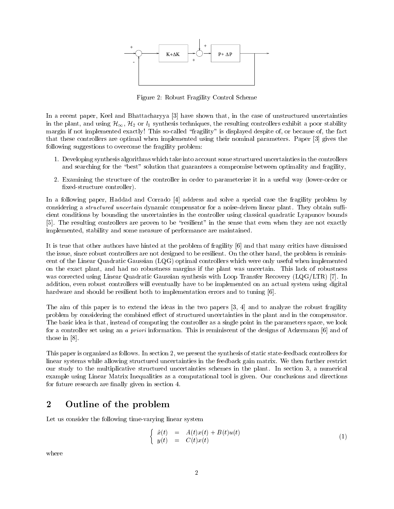

Figure Robust Fragility Control Scheme

In a recent paper, Keel and Bhattacharyya [3] have shown that, in the case of unstructured uncertainties in the plant and using H H or l- - l- - l- - l- - controllers exhibited controllers exhibit a post-orders exhibit a poor margin if not implemented exactly! This so-called "fragility" is displayed despite of, or because of, the fact that these controllers are optimal when implemented using their nominal parameters. Paper [3] gives the following suggestions to overcome the fragility problem:

- 1. Developing synthesis algorithms which take into account some structured uncertainties in the controllers and searching for the "best" solution that guarantees a compromise between optimality and fragility,
- 2. Examining the structure of the controller in order to parameterize it in a useful way (lower-order or  $\mathbf{r}$ edstructure controller controller controller controller controller controller controller controller controller controller controller controller controller controller controller controller controller controller con

In a following paper, Haddad and Corrado [4] address and solve a special case the fragility problem by considering a *structured uncertain* dynamic compensator for a noise-driven linear plant. They obtain sufficient conditions by bounding the uncertainties in the controller using classical quadratic Lyapunov bounds [5]. The resulting controllers are proven to be "resilient" in the sense that even when they are not exactly implemented, stability and some measure of performance are maintained.

It is true that other authors have hinted at the problem of fragility [6] and that many critics have dismissed the issue, since robust controllers are not designed to be resilient. On the other hand, the problem is reminiscent of the Linear Quadratic Gaussian LQG optimal controllers which were only useful when implemented on the exact plant, and had no robustness margins if the plant was uncertain. This lack of robustness was corrected using Linear Quadratic Gaussian synthesis with Loop Transfer Recovery  $\mathcal{U}(\mathcal{A})$ addition, even robust controllers will eventually have to be implemented on an actual system using digital hardware and should be resilient both to implementation errors and to tuning [6].

The aim of this paper is to extend the ideas in the two papers  $[3, 4]$  and to analyze the robust fragility problem by considering the combined e-ect of structured uncertainties in the plant and in the compensator The basic idea is that, instead of computing the controller as a single point in the parameters space, we look for a controller set using an *a priori* information. This is reminiscent of the designs of Ackermann [6] and of those in  $[8]$ .

This paper is organized as follows. In section 2, we present the synthesis of static state-feedback controllers for linear systems while allowing structured uncertainties in the feedback gain matrix. We then further restrict our study to the multiplicative structured uncertainties schemes in the plant. In section 3, a numerical example using Linear Matrix Inequalities as a computational tool is given. Our conclusions and directions for future research are finally given in section 4.

#### $\overline{2}$ Outline of the problem

Let us consider the following time-varying linear system

$$
\begin{cases}\n\dot{x}(t) = A(t)x(t) + B(t)u(t) \\
y(t) = C(t)x(t)\n\end{cases} (1)
$$

where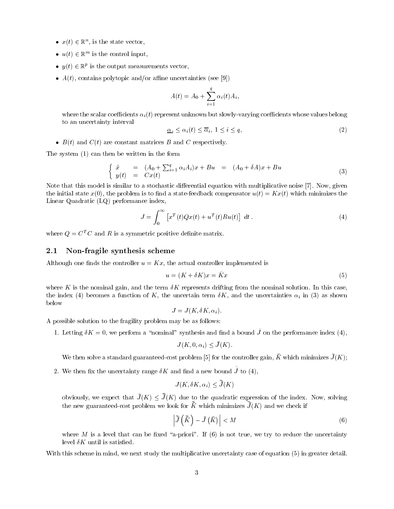- $x(t) \in \mathbb{R}^n$ , is the state vector,
- $\bullet$   $u(t) \in \mathbb{R}^n$  is the control input,
- $\bullet$   $y(t) \in \mathbb{R}^p$  is the output measurements vector,
- A t contains polytopic andor ane uncertainties see

$$
A(t) = A_0 + \sum_{i=1}^{q} \alpha_i(t) A_i,
$$

where the scalar coecients -i<sup>t</sup> represent unknown but slowlyvarying coecients whose values belong to an uncertainty interval

$$
\underline{\alpha}_i \le \alpha_i(t) \le \overline{\alpha}_i, \ 1 \le i \le q,\tag{2}
$$

 $\mathbf{F} = \mathbf{F} \cdot \mathbf{F} \cdot \mathbf{F} \cdot \mathbf{F} \cdot \mathbf{F} \cdot \mathbf{F} \cdot \mathbf{F} \cdot \mathbf{F} \cdot \mathbf{F} \cdot \mathbf{F} \cdot \mathbf{F} \cdot \mathbf{F} \cdot \mathbf{F} \cdot \mathbf{F} \cdot \mathbf{F} \cdot \mathbf{F} \cdot \mathbf{F} \cdot \mathbf{F} \cdot \mathbf{F} \cdot \mathbf{F} \cdot \mathbf{F} \cdot \mathbf{F} \cdot \mathbf{F} \cdot \mathbf{F} \cdot \mathbf{F} \cdot \mathbf{F} \cdot \mathbf{F$ 

The system can then be written in the form

$$
\begin{cases}\n\dot{x} = (A_0 + \sum_{i=1}^q \alpha_i A_i) x + Bu = (A_0 + \delta A) x + Bu \\
y(t) = C x(t)\n\end{cases} (3)
$$

Note that this model is similar to a stochastic di-erential equation with multiplicative noise  Now given the initial state  $\mathbf{v}$  is to not a statefeedback compensation in the state  $\mathbf{v}$ Linear Quadratic LQ performance index

$$
J = \int_0^\infty \left[ x^T(t)Qx(t) + u^T(t)Ru(t) \right] dt.
$$
 (4)

where  $Q = C<sup>T</sup>C$  and R is a symmetric positive definite matrix.

#### -Non-fragile synthesis scheme

Although one finds the controller  $u = Kx$ , the actual controller implemented is

$$
u = (K + \delta K)x = \tilde{K}x \tag{5}
$$

where K is the nominal gain, and the term  $\delta K$  represents drifting from the nominal solution. In this case, index  $\mathbf{r}$  index  $\mathbf{r}$  in  $\mathbf{r}$  in  $\mathbf{r}$  in  $\mathbf{r}$  in  $\mathbf{r}$  in  $\mathbf{r}$  in  $\mathbf{r}$  in  $\mathbf{r}$  in  $\mathbf{r}$  in  $\mathbf{r}$  in  $\mathbf{r}$  in  $\mathbf{r}$  in  $\mathbf{r}$  in  $\mathbf{r}$  in  $\mathbf{r}$  in  $\mathbf{r}$  in  $\mathbf{r}$ below

$$
J = J(K, \delta K, \alpha_i)
$$

A possible solution to the fragility problem may be as follows

 $\Gamma$ . Detting  $\sigma\Lambda = 0$ , we perform a nominal synthesis and nift a bound J on the performance index  $(\pm)$ ,

$$
J(K, 0, \alpha_i) \le \bar{J}(K).
$$

We then solve a standard guaranteed-cost problem [5] for the controller gain,  $K$  which minimizes  $J(K)$ ,

2. We then  $\hbox{fix}$  the uncertainty range  $\delta K$  and find a new bound J to (4),  $\mathbf{B}$  and  $\mathbf{B}$  are the set of  $\mathbf{B}$ 

$$
J(K, \delta K, \alpha_i) \le \bar{J}(K)
$$

obviously, we expect that  $J(K) \leq J(K)$  que to the quadratic expression of the index. Now, solving the new guaranteed-cost problem we look for  $K$  which minimizes  $J(K)$  and we check if

$$
\left| \bar{J}\left(\bar{\bar{K}}\right) - \bar{J}\left(\bar{K}\right) \right| < M \tag{6}
$$

where  $\mathcal{M}$  is a level that can be xed approximately if  $\mathcal{M}$  is not true we true we true we true we true we true we true we true we true we true we true we true we true we true we true we true we true we true we tr level  $\delta K$  until is satisfied.

with the scheme in mind we need to much study the multiplicative uncertainty case of equations  $\mu$  , and  $\mu$  and  $\mu$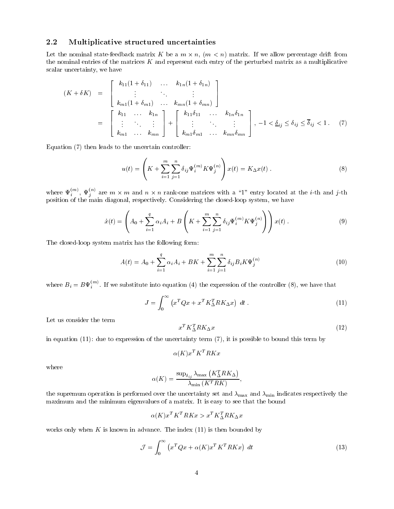## Multiplicative structured uncertainties

Let the nominal statefer matrix matrix is a m  $\alpha$  m  $\alpha$  m  $\alpha$  m  $\alpha$  m  $\alpha$  m  $\alpha$  and  $\alpha$  allow percentage drifts from the nominal entries of the matrices  $K$  and represent each entry of the perturbed matrix as a multiplicative scalar uncertainty, we have

$$
(K + \delta K) = \begin{bmatrix} k_{11}(1 + \delta_{11}) & \dots & k_{1n}(1 + \delta_{1n}) \\ \vdots & \vdots & \vdots \\ k_{m1}(1 + \delta_{m1}) & \dots & k_{mn}(1 + \delta_{mn}) \end{bmatrix}
$$
  
= 
$$
\begin{bmatrix} k_{11} & \dots & k_{1n} \\ \vdots & \vdots & \vdots \\ k_{m1} & \dots & k_{mn} \end{bmatrix} + \begin{bmatrix} k_{11}\delta_{11} & \dots & k_{1n}\delta_{1n} \\ \vdots & \vdots & \vdots \\ k_{m1}\delta_{m1} & \dots & k_{mn}\delta_{mn} \end{bmatrix}, -1 < \underline{\delta}_{ij} \leq \delta_{ij} \leq \overline{\delta}_{ij} < 1. \tag{7}
$$

 $\mathbf{f}$  then leads to the uncertainty controller the uncertainty controller to the uncertainty controller to the uncertainty of  $\mathbf{f}$ 

$$
u(t) = \left( K + \sum_{i=1}^{m} \sum_{j=1}^{n} \delta_{ij} \Psi_i^{(m)} K \Psi_j^{(n)} \right) x(t) = K_{\Delta} x(t) . \tag{8}
$$

where  $\Psi_i^{(m)}, \Psi_j^{(m)}$  are  $m \times m$  and  $n \times n$  rank-one matrices with a "1" entry located at the *i*-th and *j*-th position of the main diagonal respectively Considering the closedloop system we have

$$
\dot{x}(t) = \left(A_0 + \sum_{i=1}^q \alpha_i A_i + B\left(K + \sum_{i=1}^m \sum_{j=1}^n \delta_{ij} \Psi_i^{(m)} K \Psi_j^{(n)}\right)\right) x(t) .
$$
\n(9)

The closed-loop system matrix has the following form:

$$
A(t) = A_0 + \sum_{i=1}^{q} \alpha_i A_i + BK + \sum_{i=1}^{m} \sum_{j=1}^{n} \delta_{ij} B_i K \Psi_j^{(n)}
$$
(10)

where  $B_i = B \Psi_i^{(m)}$ . If we substitute into equation (4) the expression of the controller (8), we have that

$$
J = \int_0^\infty \left( x^T Q x + x^T K_\Delta^T R K_\Delta x \right) dt \,. \tag{11}
$$

Let us consider the term

$$
x^T K_{\Delta}^T R K_{\Delta} x \tag{12}
$$

in equation due to expression of the uncertainty term it is possible to bound this term by

$$
\alpha(K) x^T K^T R K x
$$

where

$$
\alpha(K) = \frac{\sup_{\delta_{ij}} \lambda_{\max} (K_{\Delta}^T R K_{\Delta})}{\lambda_{\min} (K^T R K)},
$$

the supremum operation is performed over the uncertainty set and  $\lambda_{\max}$  and  $\lambda_{\min}$  indicates respectively the maximum and the minimum eigenvalues of a matrix It is easy to see that the bound

$$
\alpha(K) x^T K^T R K x > x^T K_{\Delta}^T R K_{\Delta} x
$$

when K is known in advance Theorem in advance Theorem in advance Theorem in advance Theorem in advance Theorem in

$$
\mathcal{J} = \int_0^\infty \left( x^T Q x + \alpha(K) x^T K^T R K x \right) dt \tag{13}
$$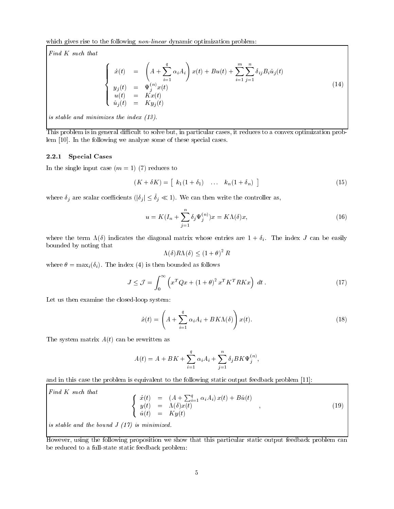which gives rise to the following non-linear dynamic optimization problem:

Find K such that

$$
\begin{cases}\n\dot{x}(t) = \left(A + \sum_{i=1}^{q} \alpha_i A_i\right) x(t) + B u(t) + \sum_{i=1}^{m} \sum_{j=1}^{n} \delta_{ij} B_i \hat{u}_j(t) \\
y_j(t) = \Psi_j^{(n)} x(t) \\
u(t) = K x(t) \\
\hat{u}_j(t) = K y_j(t)\n\end{cases}
$$
\n(14)

is stable and minimizes the index  $(13)$ .

This problem is in general difficult to solve but, in particular cases, it reduces to a convex optimization problem [10]. In the following we analyze some of these special cases.

### $\blacksquare$  ...  $\blacksquare$   $\blacksquare$   $\blacksquare$

 $\mathcal{L}$  and single input case  $\mathcal{L}$  ,  $\mathcal{L}$  ,  $\mathcal{L}$  ,  $\mathcal{L}$  ,  $\mathcal{L}$  ,  $\mathcal{L}$  ,  $\mathcal{L}$  ,  $\mathcal{L}$  ,  $\mathcal{L}$  ,  $\mathcal{L}$  ,  $\mathcal{L}$  ,  $\mathcal{L}$  ,  $\mathcal{L}$  ,  $\mathcal{L}$  ,  $\mathcal{L}$  ,  $\mathcal{L}$  ,  $\mathcal{L}$  ,  $\math$ 

$$
(K + \delta K) = [k_1(1 + \delta_1) \dots k_n(1 + \delta_n)] \tag{15}
$$

where  $\sigma_i$  are scalar coefficients  $\{|\sigma_i| \leq \sigma_i \ll 1\}$ . We can their write the controller as,

$$
u = K(I_n + \sum_{j=1}^n \delta_j \Psi_j^{(n)}) x = K\Lambda(\delta)x,
$$
\n(16)

where the term  $\mathbf{u}$  indicates the diagonal matrix whose entries are  $\mathbf{u}$  can be easily can be easily can be easily can be easily can be easily can be easily can be easily can be easily can be easily can be easily bounded by noting that

$$
\Lambda(\delta)R\Lambda(\delta) \le (1+\theta)^2 R
$$

where  $\alpha$  is the independent of  $\alpha$  is the independent of the statistic order  $\alpha$ 

$$
J \leq \mathcal{J} = \int_0^\infty \left( x^T Q x + (1+\theta)^2 x^T K^T R K x \right) dt.
$$
 (17)

Let us then examine the closed-loop system:

$$
\dot{x}(t) = \left(A + \sum_{i=1}^{q} \alpha_i A_i + BK\Lambda(\delta)\right) x(t).
$$
\n(18)

The system matrix A t can be rewritten as

$$
A(t) = A + BK + \sum_{i=1}^{q} \alpha_i A_i + \sum_{j=1}^{n} \delta_j BK \Psi_j^{(n)},
$$

and in this case the problem is equivalent to the following static output feedback problem [11]:

Find K such that  
\n
$$
\begin{cases}\n\dot{x}(t) = (A + \sum_{i=1}^{q} \alpha_i A_i) x(t) + B\hat{u}(t) \\
y(t) = \Lambda(\delta) x(t) \\
\hat{u}(t) = Ky(t)\n\end{cases}
$$
\n(19)  
\nis stable and the bound J (17) is minimized.

However, using the following proposition we show that this particular static output feedback problem can be reduced to a full-state static feedback problem: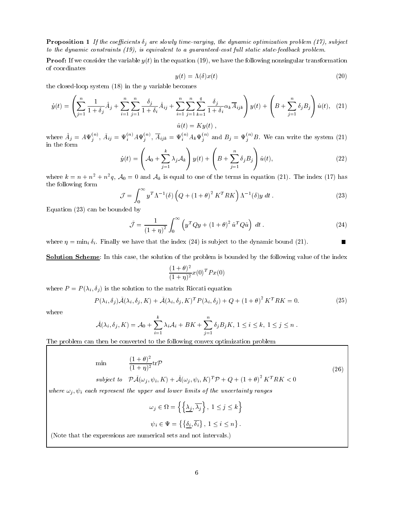$\blacksquare$  reposition  $\blacksquare$  if the coefficience of are sidang third carging, the agreamic optimization problem  $\lceil$  177, babyoct to the dynamic constraints  $(19)$ , is equivalent to a guaranteed-cost full static state-feedback problem.

 $\mathbf{u}$  in the equation  $\mathbf{u}$ of coordinates

$$
y(t) = \Lambda(\delta)x(t) \tag{20}
$$

the closedion of the y variable becomes the second contract the second contract of the second contract of the  $\alpha$ 

$$
\dot{y}(t) = \left(\sum_{j=1}^{n} \frac{1}{1+\delta_j} \hat{A}_j + \sum_{i=1}^{n} \sum_{j=1}^{n} \frac{\delta_j}{1+\delta_i} \tilde{A}_{ij} + \sum_{i=1}^{n} \sum_{j=1}^{n} \sum_{k=1}^{n} \frac{\delta_j}{1+\delta_i} \alpha_k \overline{A}_{ijk}\right) y(t) + \left(B + \sum_{j=1}^{n} \delta_j B_j\right) \hat{u}(t), \quad (21)
$$

$$
\hat{u}(t) = Ky(t),
$$

where  $A_j = A \Psi_j^{\scriptscriptstyle{(iv)}}, A_{ij} = \Psi_i^{\scriptscriptstyle{(iv)}} A \Psi_j^{\scriptscriptstyle{(v)}}, A_{ijk} = \Psi_i^{\scriptscriptstyle{(iv)}} A_k \Psi_j^{\scriptscriptstyle{(v)}}$  and  $B_j = \Psi_j^{\scriptscriptstyle{(v)}} B$ . We can write the system (21)

$$
\dot{y}(t) = \left(A_0 + \sum_{j=1}^k \lambda_j A_k\right) y(t) + \left(B + \sum_{j=1}^n \delta_j B_j\right) \hat{u}(t),\tag{22}
$$

where  $\kappa = n + n^- + n^-q$ ,  $\mathcal{A}_0 = 0$  and  $\mathcal{A}_k$  is equal to one of the terms in equation  $(21)$ . The modex  $(17)$  has the following form

$$
\mathcal{J} = \int_0^\infty y^T \Lambda^{-1}(\delta) \left( Q + (1+\theta)^2 K^T R K \right) \Lambda^{-1}(\delta) y \, dt \,. \tag{23}
$$

Equation can be bounded by

$$
\tilde{\mathcal{J}} = \frac{1}{\left(1+\eta\right)^2} \int_0^\infty \left( y^T Q y + \left(1+\theta\right)^2 \hat{u}^T Q \hat{u} \right) dt \,. \tag{24}
$$

where  $\mathbf{r}$  is substituting that the index  $\mathbf{r}$  is substituting the dynamic boundary  $\mathbf{r}$ 

**Solution Scheme**: In this case, the solution of the problem is bounded by the following value of the index

$$
\frac{(1+\theta)^2}{(1+\eta)^2}x(0)^T P x(0)
$$

where  $\mathcal{N}$  is the solution to the matrix Riccati equation to the matrix Riccati equation to the matrix Riccati equation of  $\mathcal{N}$ 

$$
P(\lambda_i, \delta_j) \tilde{\mathcal{A}}(\lambda_i, \delta_j, K) + \tilde{\mathcal{A}}(\lambda_i, \delta_j, K)^T P(\lambda_i, \delta_j) + Q + (1 + \theta)^2 K^T R K = 0.
$$
 (25)

where

$$
\tilde{\mathcal{A}}(\lambda_i, \delta_j, K) = \mathcal{A}_0 + \sum_{i=1}^k \lambda_i \mathcal{A}_i + BK + \sum_{j=1}^n \delta_j B_j K, 1 \le i \le k, 1 \le j \le n.
$$

The problem can then be converted to the following convex optimization problem

$$
\min \qquad \frac{(1+\theta)^2}{(1+\eta)^2} \text{tr} \mathcal{P} \tag{26}
$$

subject to 
$$
\mathcal{P}\tilde{\mathcal{A}}(\omega_j, \psi_i, K) + \tilde{\mathcal{A}}(\omega_j, \psi_i, K)^T \mathcal{P} + Q + (1 + \theta)^2 K^T R K < 0
$$

where  $\omega_j$ ,  $\psi_i$  each represent the upper and lower limits of the uncertainty ranges

$$
\omega_j \in \Omega = \left\{ \left\{ \frac{\lambda_j, \overline{\lambda_j}}{\lambda_j} \right\}, 1 \le j \le k \right\}
$$

$$
\psi_i \in \Psi = \left\{ \left\{ \underline{\delta_i}, \overline{\delta_i} \right\}, \ 1 \leq i \leq n \right\}.
$$

(Note that the expressions are numerical sets and not intervals.)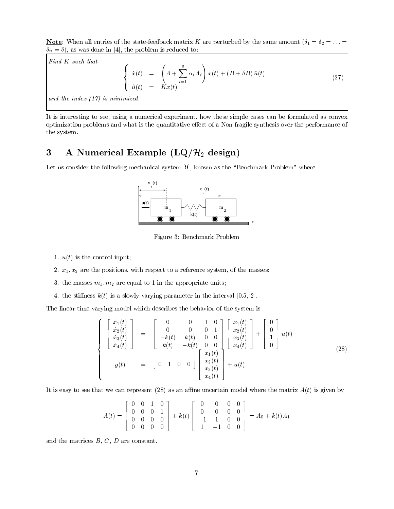Note When all entries of the statefeedback matrix of the perturbed by the same amount  $\mathcal{C}_1$  ,  $\mathcal{C}_2$  , and  $\mathbf{u}$  is the problem in the problem in the problem in the problem is reduced to the problem in the problem in the problem in the problem in the problem in the problem in the problem in the problem in the problem in the

Find K such that  

$$
\begin{cases}\n\dot{x}(t) = \left(A + \sum_{i=1}^{q} \alpha_i A_i\right) x(t) + \left(B + \delta B\right) \hat{u}(t) \\
\hat{u}(t) = Kx(t)\n\end{cases}
$$
\n(27)

and the index  $(17)$  is minimized.

It is interesting to see, using a numerical experiment, how these simple cases can be formulated as convex optimization problems and what is the quantitative e-ct of a nonfigure symmetry synthesis performance of the system

## 3 A Numerical Example  $(LQ/\mathcal{H}_2)$  design)

Let us consider the following mechanical system  $[9]$ , known as the "Benchmark Problem" where



Figure 3: Benchmark Problem

- where  $\mathbf{u} = \mathbf{u}$  is the control input  $\mathbf{u} = \mathbf{u}$  is the control input of  $\mathbf{u} = \mathbf{u}$
- x- x are the positions with respect to a reference system of the masses!
- the masses m- m are equal to in the appropriate units!
- the sti-ness k t is a slowlyvarying parameter in the interval

The linear time-varying model which describes the behavior of the system is

$$
\begin{cases}\n\begin{bmatrix}\n\dot{x}_1(t) \\
\dot{x}_2(t) \\
\dot{x}_3(t) \\
\dot{x}_4(t)\n\end{bmatrix} =\n\begin{bmatrix}\n0 & 0 & 1 & 0 \\
0 & 0 & 0 & 1 \\
-k(t) & k(t) & 0 & 0 \\
k(t) & -k(t) & 0 & 0 \\
k(t) & -k(t) & 0 & 0\n\end{bmatrix}\n\begin{bmatrix}\nx_1(t) \\
x_2(t) \\
x_3(t) \\
x_4(t)\n\end{bmatrix} +\n\begin{bmatrix}\n0 \\
0 \\
1 \\
0\n\end{bmatrix} u(t) \\
y(t) =\n\begin{bmatrix}\n0 & 0 & 1 & 0 \\
0 & k(t) & 0 & 0 \\
k(t) & 0 & 0 & 0 \\
x_2(t) & x_3(t) & 0 \\
x_4(t)\n\end{bmatrix} + u(t)\n\end{cases}
$$
\n(28)

It is easy to see that we can represent as an ane uncertain model where the matrix A t is given by

$$
A(t) = \begin{bmatrix} 0 & 0 & 1 & 0 \\ 0 & 0 & 0 & 1 \\ 0 & 0 & 0 & 0 \\ 0 & 0 & 0 & 0 \end{bmatrix} + k(t) \begin{bmatrix} 0 & 0 & 0 & 0 \\ 0 & 0 & 0 & 0 \\ -1 & 1 & 0 & 0 \\ 1 & -1 & 0 & 0 \end{bmatrix} = A_0 + k(t)A_1
$$

and the matrices  $B, C, D$  are constant.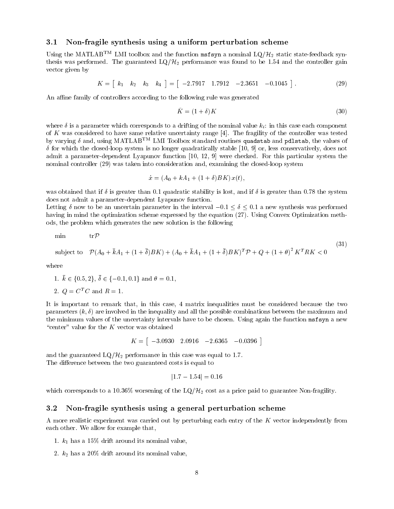## Non-fragile synthesis using a uniform perturbation scheme

Using the MATLAB<sup>TM</sup> LMI toolbox and the function msfsyn a nominal  $LQ/H_2$  static state-feedback synthesis was performed. The guaranteed  $LQ/H_2$  performance was found to be 1.54 and the controller gain vector given by

$$
K = [k_1 \ k_2 \ k_3 \ k_4] = [-2.7917 \ 1.7912 \ -2.3651 \ -0.1045]. \tag{29}
$$

An affine family of controllers according to the following rule was generated

$$
\tilde{K} = (1 + \delta)K\tag{30}
$$

where  $\delta$  is a parameter which corresponds to a drifting of the nominal value  $k_i$ : in this case each component of  $K$  was considered to have same relative uncertainty range  $[4]$ . The fragility of the controller was tested by varying  $\delta$  and, using MATLAB<sup>TM</sup> LMI Toolbox standard routines quadstab and pdlstab, the values of  $\delta$  for which the closed-loop system is no longer quadratically stable [10, 9] or, less conservatively, does not admit a parameter-dependent Lyapunov function  $[10, 12, 9]$  were checked. For this particular system the nominal controller  $\{ \pm 1, \pm 1, \ldots \}$  . When the constant the constant the constant  $\{ \pm 1, \pm 1, \ldots \}$  system

$$
\dot{x} = (A_0 + kA_1 + (1+\delta)BK) x(t),
$$

was obtained that if  $\delta$  is greater than 0.1 quadratic stability is lost, and if  $\delta$  is greater than 0.78 the system does not admit a parameter-dependent Lyapunov function.

Letting  $\delta$  now to be an uncertain parameter in the interval  $-0.1 \le \delta \le 0.1$  a new synthesis was performed having in mind the optimization scheme expressed by the equation Using Convex Optimization meth ods the problem which generates the new solution is the following

min tr
$$
\mathcal{P}
$$
 (31)  
subject to  $\mathcal{P}(A_0 + \bar{k}A_1 + (1 + \bar{\delta})BK) + (A_0 + \bar{k}A_1 + (1 + \bar{\delta})BK)^T \mathcal{P} + Q + (1 + \theta)^2 K^T RK < 0$ 

where

1. 
$$
\bar{k} \in \{0.5, 2\}, \bar{\delta} \in \{-0.1, 0.1\}
$$
 and  $\theta = 0.1$ ,

2.  $Q = C^T C$  and  $R = 1$ .

It is important to remark that, in this case, 4 matrix inequalities must be considered because the two parameters k are involved in the inequality and all the possible combinations between the maximum and the minimum values of the uncertainty intervals have to be chosen Using again the function msfsyn a new "center" value for the  $K$  vector was obtained

$$
K = [ \ -3.0930 \quad 2.0916 \quad -2.6365 \quad -0.0396 \ ]
$$

and the guaranteed  $LQ/\mathcal{H}_2$  performance in this case was equal to 1.7. The di-erence between the two guaranteed costs is equal to

$$
|1.7-1.54|=0.16\,
$$

which corresponds to a 10.36% worsening of the  $LQ/H_2$  cost as a price paid to guarantee Non-fragility.

#### -Non-fragile synthesis using a general perturbation scheme

A more realistic experiment was carried out by perturbing each entry of the K vector independently from each other. We allow for example that,

- has a second its nominal value in the distribution of the second in the second  $\frac{1}{2}$
- 2.  $k_2$  has a 20% drift around its nominal value,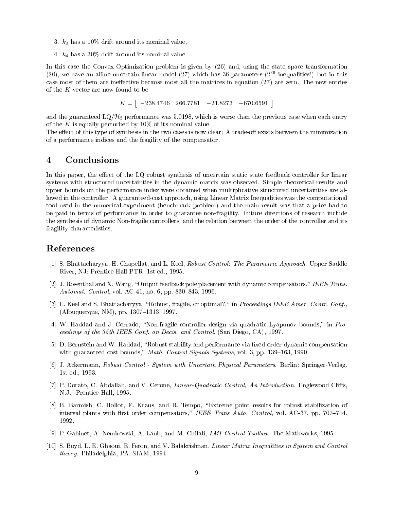- 3.  $k_3$  has a 10% drift around its nominal value.
- 4.  $k_4$  has a 30% drift around its nominal value.

In this case the Convex Optimization problem is given by and using the state space transformation (20), we have an annie uncertain linear model (27) which has so parameters (2°° inequalities:) but in this case most of them are ine-ective because most all the matrices in equation are zero The new entries of the K vector are now found to be

 $K = [$   $-238.4746$   $266.7781$   $-21.8273$   $-670.6591$  ]

and the guaranteed  $LQ/H_2$  performance was 5.0198, which is worse than the previous case when each entry of the K is equally perturbed by  $10\%$  of its nominal value.

The e-ect of this type of synthesis in the two cases is now clear A tradeo- exists between the minimization of a performance indices and the fragility of the compensator

#### $\overline{\mathbf{4}}$ Conclusions

In this paper the e-ect of the LQ robust synthesis of uncertain static state feedback controller for linear systems with structured uncertainties in the dynamic matrix was observed. Simple theoretical results and upper bounds on the performance index were obtained when multiplicative structured uncertainties are al lowed in the controller. A guaranteed-cost approach, using Linear Matrix Inequalities was the computational to an the main result was the main result was the main result was the main result was the main result was that be paid in terms of performance in order to guarantee nonfragility Future directions of research include the synthesis of dynamic Non-fragile controllers, and the relation between the order of the controller and its fragility characteristics

## References

- [1] S. Bhattacharyya, H. Chapellat, and L. Keel, Robust Control: The Parametric Approach. Upper Saddle River, NJ: Prentice-Hall PTR, 1st ed., 1995.
- [2] J. Rosenthal and X. Wang, "Output feedback pole placement with dynamic compensators," IEEE Trans. Automat. Control, vol. AC-41, no. 6, pp.  $830-843$ , 1996.
- [3] L. Keel and S. Bhattacharyya, "Robust, fragile, or optimal?," in Proceedings IEEE Amer. Contr. Conf.,  $(A)$  independence  $(NM)$ ,  $pp$   $130$   $t$   $-131$   $q$ ,  $1331$
- [4] W. Haddad and J. Corrado, "Non-fragile controller design via quadratic Lyapunov bounds," in Proceedings of the theory confliction of the theory is and Control of Confliction of the Control of the Control o
- [5] D. Bernstein and W. Haddad, "Robust stability and performance via fixed-order dynamic compensation with guaranteed cost bounds," Math. Control Signals Systems, vol. 3, pp.  $139-163$ , 1990.
- [6] J. Ackermann, Robust Control System with Uncertain Physical Parameters. Berlin: Springer-Verlag, 1st ed., 1993.
- P Dorato C Abdallah and V Cerone LinearQuadratic Control An Introduction Englewood Cli-s N.J.: Prentice Hall, 1995.
- [8] B. Barmish, C. Hollot, F. Kraus, and R. Tempo, "Extreme point results for robust stabilization of interval plants with first order compensators," IEEE Trans Auto. Control, vol. AC-37, pp.  $707-714$ , 1992.
- [9] P. Gahinet, A. Nemirovski, A. Laub, and M. Chilali, *LMI Control Toolbox*. The Mathworks, 1995.
- [10] S. Boyd, L. E. Ghaoui, E. Feron, and V. Balakrishnan, *Linear Matrix Inequalities in System and Control*  $theory.$  Philadelphia, PA: SIAM, 1994.